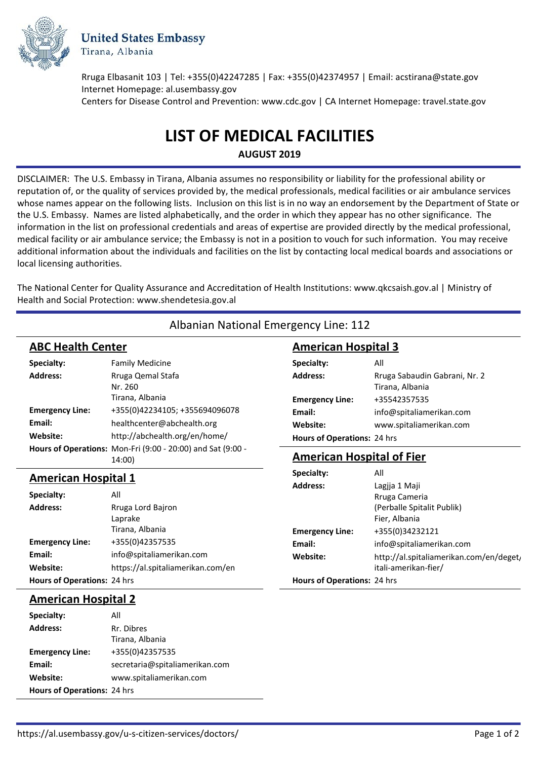

**United States Embassy** Tirana, Albania

Rruga Elbasanit 103 | Tel: +355(0)42247285 | Fax: +355(0)42374957 | Email: acstirana@state.gov Internet Homepage: al.usembassy.gov Centers for Disease Control and Prevention: www.cdc.gov | CA Internet Homepage: travel.state.gov

# **LIST OF MEDICAL FACILITIES**

**AUGUST 2019**

DISCLAIMER: The U.S. Embassy in Tirana, Albania assumes no responsibility or liability for the professional ability or reputation of, or the quality of services provided by, the medical professionals, medical facilities or air ambulance services whose names appear on the following lists. Inclusion on this list is in no way an endorsement by the Department of State or the U.S. Embassy. Names are listed alphabetically, and the order in which they appear has no other significance. The information in the list on professional credentials and areas of expertise are provided directly by the medical professional, medical facility or air ambulance service; the Embassy is not in a position to vouch for such information. You may receive additional information about the individuals and facilities on the list by contacting local medical boards and associations or local licensing authorities.

The National Center for Quality Assurance and Accreditation of Health Institutions: www.qkcsaish.gov.al | Ministry of Health and Social Protection: www.shendetesia.gov.al

Albanian National Emergency Line: 112

| <b>ABC Health Center</b>    |                                                                       | <b>American Hospital 3</b>       |                                                  |
|-----------------------------|-----------------------------------------------------------------------|----------------------------------|--------------------------------------------------|
| Specialty:                  | <b>Family Medicine</b>                                                | Specialty:                       | All                                              |
| <b>Address:</b>             | Rruga Qemal Stafa<br>Nr. 260                                          | <b>Address:</b>                  | Rruga Sabaudin Gabrani, Nr. 2<br>Tirana, Albania |
|                             | Tirana, Albania                                                       | <b>Emergency Line:</b>           | +35542357535                                     |
| <b>Emergency Line:</b>      | +355(0)42234105; +355694096078                                        | Email:                           | info@spitaliamerikan.com                         |
| Email:                      | healthcenter@abchealth.org                                            | Website:                         | www.spitaliamerikan.com                          |
| Website:                    | http://abchealth.org/en/home/                                         | Hours of Operations: 24 hrs      |                                                  |
|                             | Hours of Operations: Mon-Fri (9:00 - 20:00) and Sat (9:00 -<br>14:00) | <b>American Hospital of Fier</b> |                                                  |
| <b>American Hospital 1</b>  |                                                                       | Specialty:                       | All                                              |
|                             |                                                                       | <b>Address:</b>                  | Lagjja 1 Maji                                    |
| Specialty:                  | All                                                                   |                                  | Rruga Cameria                                    |
| <b>Address:</b>             | Rruga Lord Bajron                                                     |                                  | (Perballe Spitalit Publik)                       |
|                             | Laprake                                                               |                                  | Fier, Albania                                    |
|                             | Tirana, Albania                                                       | <b>Emergency Line:</b>           | +355(0)34232121                                  |
| <b>Emergency Line:</b>      | +355(0)42357535                                                       | Email:                           | info@spitaliamerikan.com                         |
| Email:                      | info@spitaliamerikan.com                                              | Website:                         | http://al.spitaliamerikan.com/en/deget,          |
| Website:                    | https://al.spitaliamerikan.com/en                                     |                                  | itali-amerikan-fier/                             |
| Hours of Operations: 24 hrs |                                                                       | Hours of Operations: 24 hrs      |                                                  |
| <b>American Hospital 2</b>  |                                                                       |                                  |                                                  |

#### Address: Rr. Dibres Tirana, Albania **Emergency Line:** +355(0)42357535 **Email:** secretaria@spitaliamerikan.com **Website:** www.spitaliamerikan.com **Specialty:** All **Hours of Operations:** 24 hrs

https://al.usembassy.gov/u-s-citizen-services/doctors/ Page 1 of 2